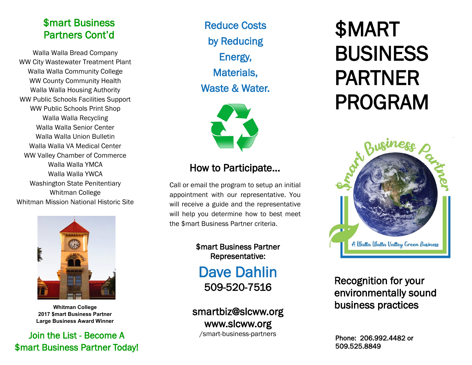## \$mart Business Partners Cont'd

Walla Walla Bread Company WW City Wastewater Treatment Plant Walla Walla Community College WW County Community Health Walla Walla Housing Authority WW Public Schools Facilities Support WW Public Schools Print Shop Walla Walla Recycling Walla Walla Senior Center Walla Walla Union Bulletin Walla Walla VA Medical Center WW Valley Chamber of Commerce Walla Walla YMCA Walla Walla YWCA Washington State Penitentiary Whitman College Whitman Mission National Historic Site



**Whitman College 2017 \$mart Business Partner Large Business Award Winner**

### Join the List - Become A \$mart Business Partner Today!

Reduce Costs by Reducing Energy, Materials, Waste & Water.



# How to Participate...

Call or email the program to setup an initial appointment with our representative. You will receive a guide and the representative will help you determine how to best meet the \$mart Business Partner criteria.

> \$mart Business Partner Representative:

Dave Dahlin 509-520-7516

smartbiz@slcww.org www.slcww.org /smart-business-partners

# \$MART BUSINESS PARTNER PROGRAM



Recognition for your environmentally sound business practices

Phone: 206.992.4482 or 509.525.8849